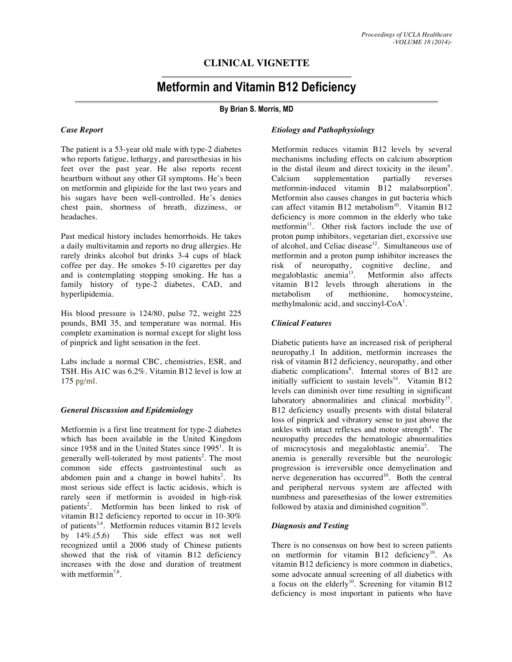# **CLINICAL VIGNETTE**

# **Metformin and Vitamin B12 Deficiency**

# **By Brian S. Morris, MD**

#### *Case Report*

The patient is a 53-year old male with type-2 diabetes who reports fatigue, lethargy, and paresethesias in his feet over the past year. He also reports recent heartburn without any other GI symptoms. He's been on metformin and glipizide for the last two years and his sugars have been well-controlled. He's denies chest pain, shortness of breath, dizziness, or headaches.

Past medical history includes hemorrhoids. He takes a daily multivitamin and reports no drug allergies. He rarely drinks alcohol but drinks 3-4 cups of black coffee per day. He smokes 5-10 cigarettes per day and is contemplating stopping smoking. He has a family history of type-2 diabetes, CAD, and hyperlipidemia.

His blood pressure is 124/80, pulse 72, weight 225 pounds, BMI 35, and temperature was normal. His complete examination is normal except for slight loss of pinprick and light sensation in the feet.

Labs include a normal CBC, chemistries, ESR, and TSH. His A1C was 6.2%. Vitamin B12 level is low at 175 pg/ml.

#### *General Discussion and Epidemiology*

Metformin is a first line treatment for type-2 diabetes which has been available in the United Kingdom since 1958 and in the United States since  $1995<sup>1</sup>$ . It is generally well-tolerated by most patients<sup>2</sup>. The most common side effects gastrointestinal such as abdomen pain and a change in bowel habits<sup>2</sup>. Its most serious side effect is lactic acidosis, which is rarely seen if metformin is avoided in high-risk patients<sup>2</sup>. Metformin has been linked to risk of vitamin B12 deficiency reported to occur in 10-30% of patients<sup>3,4</sup>. Metformin reduces vitamin B12 levels by 14%.(5,6) This side effect was not well recognized until a 2006 study of Chinese patients showed that the risk of vitamin B12 deficiency increases with the dose and duration of treatment with metformin<sup>7,8</sup>.

#### *Etiology and Pathophysiology*

Metformin reduces vitamin B12 levels by several mechanisms including effects on calcium absorption in the distal ileum and direct toxicity in the ileum<sup>9</sup>. Calcium supplementation partially reverses metformin-induced vitamin B12 malabsorption<sup>9</sup>. Metformin also causes changes in gut bacteria which can affect vitamin B12 metabolism<sup>10</sup>. Vitamin B12 deficiency is more common in the elderly who take metformin<sup>11</sup>. Other risk factors include the use of proton pump inhibitors, vegetarian diet, excessive use of alcohol, and Celiac disease $12$ . Simultaneous use of metformin and a proton pump inhibitor increases the risk of neuropathy, cognitive decline, and<br>megaloblastic anemia<sup>13</sup>. Metformin also affects Metformin also affects vitamin B12 levels through alterations in the metabolism of methionine, homocysteine, methylmalonic acid, and succinyl- $CoA<sup>1</sup>$ .

### *Clinical Features*

Diabetic patients have an increased risk of peripheral neuropathy.1 In addition, metformin increases the risk of vitamin B12 deficiency, neuropathy, and other diabetic complications<sup>8</sup>. Internal stores of B12 are initially sufficient to sustain levels $14$ . Vitamin B12 levels can diminish over time resulting in significant laboratory abnormalities and clinical morbidity<sup>15</sup>. B12 deficiency usually presents with distal bilateral loss of pinprick and vibratory sense to just above the ankles with intact reflexes and motor strength $4$ . The neuropathy precedes the hematologic abnormalities of microcytosis and megaloblastic anemia<sup>2</sup>. The anemia is generally reversible but the neurologic progression is irreversible once demyelination and nerve degeneration has occurred<sup>10</sup>. Both the central and peripheral nervous system are affected with numbness and paresethesias of the lower extremities followed by ataxia and diminished cognition $10$ .

## *Diagnosis and Testing*

There is no consensus on how best to screen patients on metformin for vitamin B12 deficiency<sup>10</sup>. As vitamin B12 deficiency is more common in diabetics, some advocate annual screening of all diabetics with a focus on the elderly<sup>10</sup>. Screening for vitamin B12 deficiency is most important in patients who have